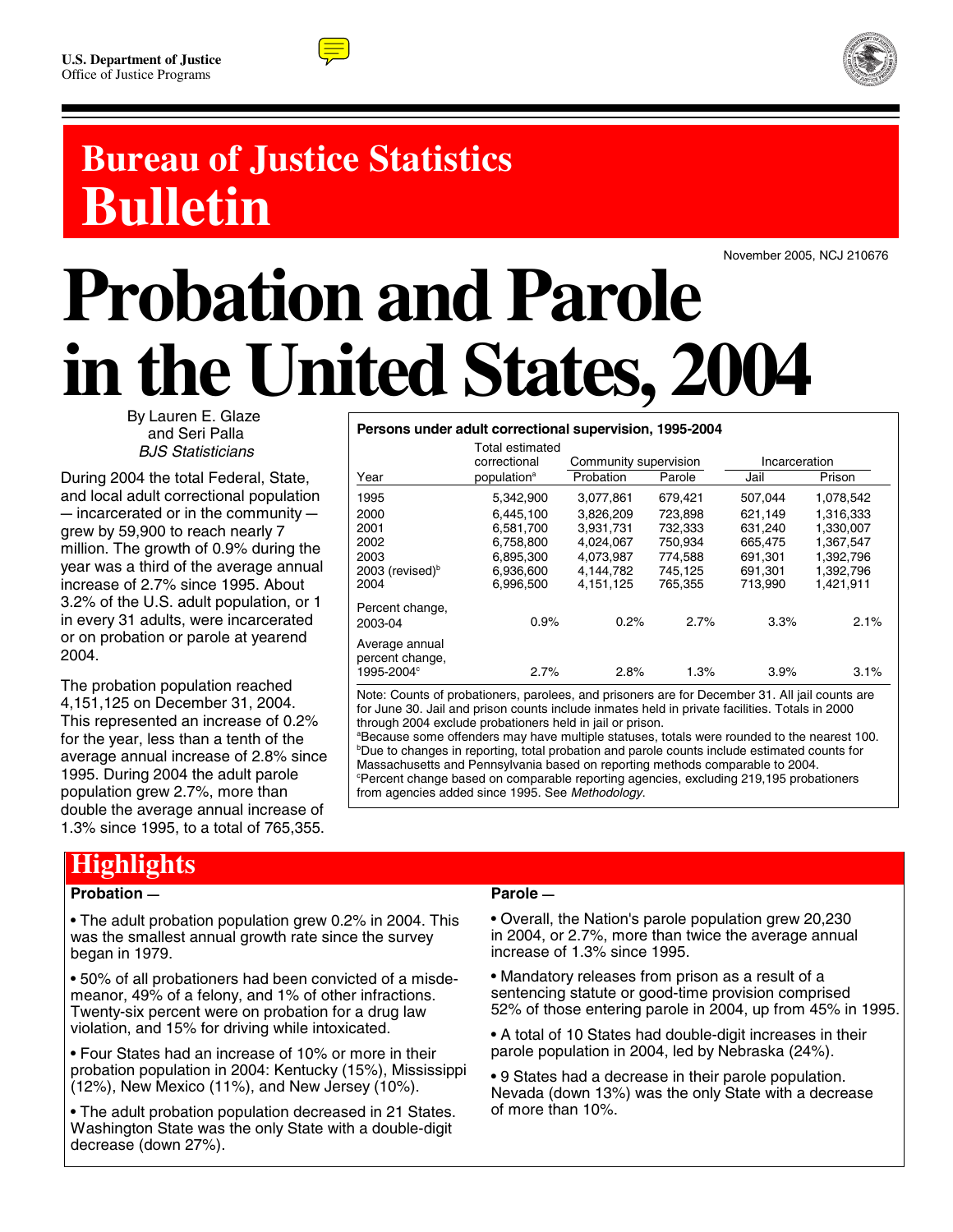



# **Bureau of Justice Statistics Bulletin**

November 2005, NCJ 210676

# **Probation and Parole in the United States, 2004**

By Lauren E. Glaze and Seri Palla *BJS Statisticians*

During 2004 the total Federal, State, and local adult correctional population  $-$  incarcerated or in the community  $$ grew by 59,900 to reach nearly 7 million. The growth of 0.9% during the year was a third of the average annual increase of 2.7% since 1995. About 3.2% of the U.S. adult population, or 1 in every 31 adults, were incarcerated or on probation or parole at yearend 2004.

The probation population reached 4,151,125 on December 31, 2004. This represented an increase of 0.2% for the year, less than a tenth of the average annual increase of 2.8% since 1995. During 2004 the adult parole population grew 2.7%, more than double the average annual increase of 1.3% since 1995, to a total of 765,355.

### **Highlights**

#### **Probation –**

• The adult probation population grew 0.2% in 2004. This was the smallest annual growth rate since the survey began in 1979.

• 50% of all probationers had been convicted of a misdemeanor, 49% of a felony, and 1% of other infractions. Twenty-six percent were on probation for a drug law violation, and 15% for driving while intoxicated.

• Four States had an increase of 10% or more in their probation population in 2004: Kentucky (15%), Mississippi (12%), New Mexico (11%), and New Jersey (10%).

• The adult probation population decreased in 21 States. Washington State was the only State with a double-digit decrease (down 27%).

#### **Persons under adult correctional supervision, 1995-2004**

| correctional            |           |         | Incarceration                 |           |
|-------------------------|-----------|---------|-------------------------------|-----------|
| population <sup>a</sup> | Probation | Parole  | Jail                          | Prison    |
| 5.342.900               | 3.077.861 | 679.421 | 507.044                       | 1,078,542 |
| 6.445.100               | 3.826.209 | 723.898 | 621.149                       | 1.316.333 |
| 6,581,700               | 3,931,731 | 732.333 | 631.240                       | 1.330.007 |
| 6,758,800               | 4.024.067 | 750.934 | 665,475                       | 1,367,547 |
| 6.895.300               | 4.073.987 | 774.588 | 691.301                       | 1.392.796 |
| 6,936,600               | 4,144,782 | 745.125 | 691.301                       | 1.392.796 |
| 6.996.500               | 4.151.125 | 765.355 | 713.990                       | 1.421.911 |
| 0.9%                    | 0.2%      | 2.7%    | 3.3%                          | 2.1%      |
|                         |           |         |                               |           |
|                         |           |         |                               | 3.1%      |
|                         | 2.7%      | 2.8%    | Community supervision<br>1.3% | 3.9%      |

Note: Counts of probationers, parolees, and prisoners are for December 31. All jail counts are for June 30. Jail and prison counts include inmates held in private facilities. Totals in 2000 through 2004 exclude probationers held in jail or prison.

a Because some offenders may have multiple statuses, totals were rounded to the nearest 100. <sup>b</sup>Due to changes in reporting, total probation and parole counts include estimated counts for Massachusetts and Pennsylvania based on reporting methods comparable to 2004. Percent change based on comparable reporting agencies, excluding 219,195 probationers from agencies added since 1995. See *Methodology*.

#### **Parole —**

• Overall, the Nation's parole population grew 20,230 in 2004, or 2.7%, more than twice the average annual increase of 1.3% since 1995.

• Mandatory releases from prison as a result of a sentencing statute or good-time provision comprised 52% of those entering parole in 2004, up from 45% in 1995.

• A total of 10 States had double-digit increases in their parole population in 2004, led by Nebraska (24%).

• 9 States had a decrease in their parole population. Nevada (down 13%) was the only State with a decrease of more than 10%.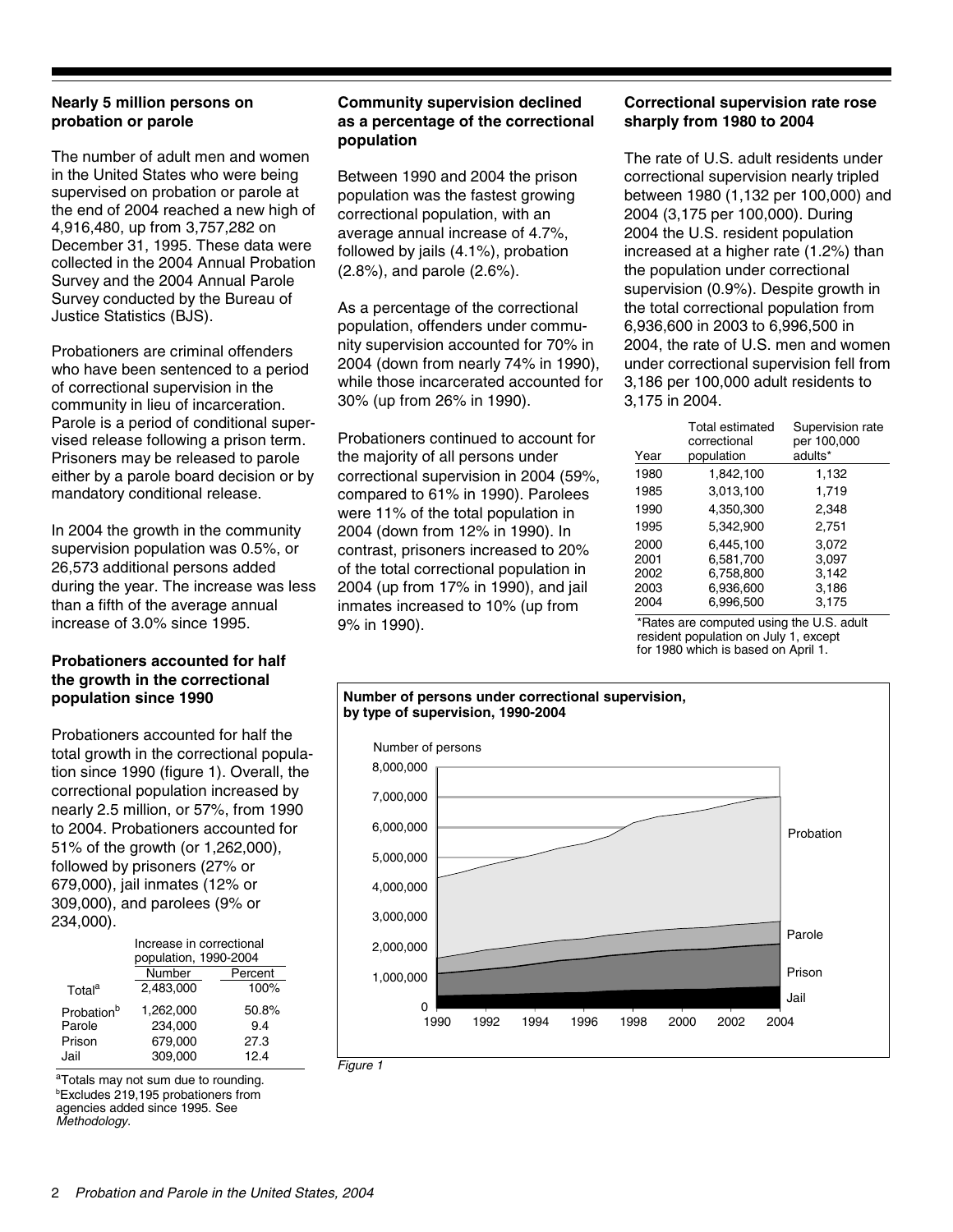#### **Nearly 5 million persons on probation or parole**

The number of adult men and women in the United States who were being supervised on probation or parole at the end of 2004 reached a new high of 4,916,480, up from 3,757,282 on December 31, 1995. These data were collected in the 2004 Annual Probation Survey and the 2004 Annual Parole Survey conducted by the Bureau of Justice Statistics (BJS).

Probationers are criminal offenders who have been sentenced to a period of correctional supervision in the community in lieu of incarceration. Parole is a period of conditional supervised release following a prison term. Prisoners may be released to parole either by a parole board decision or by mandatory conditional release.

In 2004 the growth in the community supervision population was 0.5%, or 26,573 additional persons added during the year. The increase was less than a fifth of the average annual increase of 3.0% since 1995.

#### **Probationers accounted for half the growth in the correctional population since 1990**

Probationers accounted for half the total growth in the correctional population since 1990 (figure 1). Overall, the correctional population increased by nearly 2.5 million, or 57%, from 1990 to 2004. Probationers accounted for 51% of the growth (or 1,262,000), followed by prisoners (27% or 679,000), jail inmates (12% or 309,000), and parolees (9% or 234,000).

|                        | Increase in correctional |       |  |  |  |  |
|------------------------|--------------------------|-------|--|--|--|--|
|                        | population, 1990-2004    |       |  |  |  |  |
|                        | Number<br>Percent        |       |  |  |  |  |
| Total <sup>a</sup>     | 2,483,000                | 100%  |  |  |  |  |
| Probation <sup>b</sup> | 1,262,000                | 50.8% |  |  |  |  |
| Parole                 | 234,000                  | 9.4   |  |  |  |  |
| Prison                 | 679,000                  | 27.3  |  |  |  |  |
| Jail                   | 309,000                  | 12.4  |  |  |  |  |

b Excludes 219,195 probationers from agencies added since 1995. See *Methodology*. <sup>a</sup>Totals may not sum due to rounding.

#### **Community supervision declined as a percentage of the correctional population**

Between 1990 and 2004 the prison population was the fastest growing correctional population, with an average annual increase of 4.7%, followed by jails (4.1%), probation (2.8%), and parole (2.6%).

As a percentage of the correctional population, offenders under community supervision accounted for 70% in 2004 (down from nearly 74% in 1990), while those incarcerated accounted for 30% (up from 26% in 1990).

Probationers continued to account for the majority of all persons under correctional supervision in 2004 (59%, compared to 61% in 1990). Parolees were 11% of the total population in 2004 (down from 12% in 1990). In contrast, prisoners increased to 20% of the total correctional population in 2004 (up from 17% in 1990), and jail inmates increased to 10% (up from 9% in 1990).

#### **Correctional supervision rate rose sharply from 1980 to 2004**

The rate of U.S. adult residents under correctional supervision nearly tripled between 1980 (1,132 per 100,000) and 2004 (3,175 per 100,000). During 2004 the U.S. resident population increased at a higher rate (1.2%) than the population under correctional supervision (0.9%). Despite growth in the total correctional population from 6,936,600 in 2003 to 6,996,500 in 2004, the rate of U.S. men and women under correctional supervision fell from 3,186 per 100,000 adult residents to 3,175 in 2004.

| Year | <b>Total estimated</b><br>correctional<br>population | Supervision rate<br>per 100,000<br>adults* |
|------|------------------------------------------------------|--------------------------------------------|
| 1980 | 1,842,100                                            | 1,132                                      |
| 1985 | 3,013,100                                            | 1,719                                      |
| 1990 | 4,350,300                                            | 2,348                                      |
| 1995 | 5,342,900                                            | 2,751                                      |
| 2000 | 6.445.100                                            | 3,072                                      |
| 2001 | 6,581,700                                            | 3,097                                      |
| 2002 | 6,758,800                                            | 3.142                                      |
| 2003 | 6,936,600                                            | 3,186                                      |
| 2004 | 6.996.500                                            | 3,175                                      |
|      |                                                      |                                            |

\*Rates are computed using the U.S. adult resident population on July 1, except for 1980 which is based on April 1.



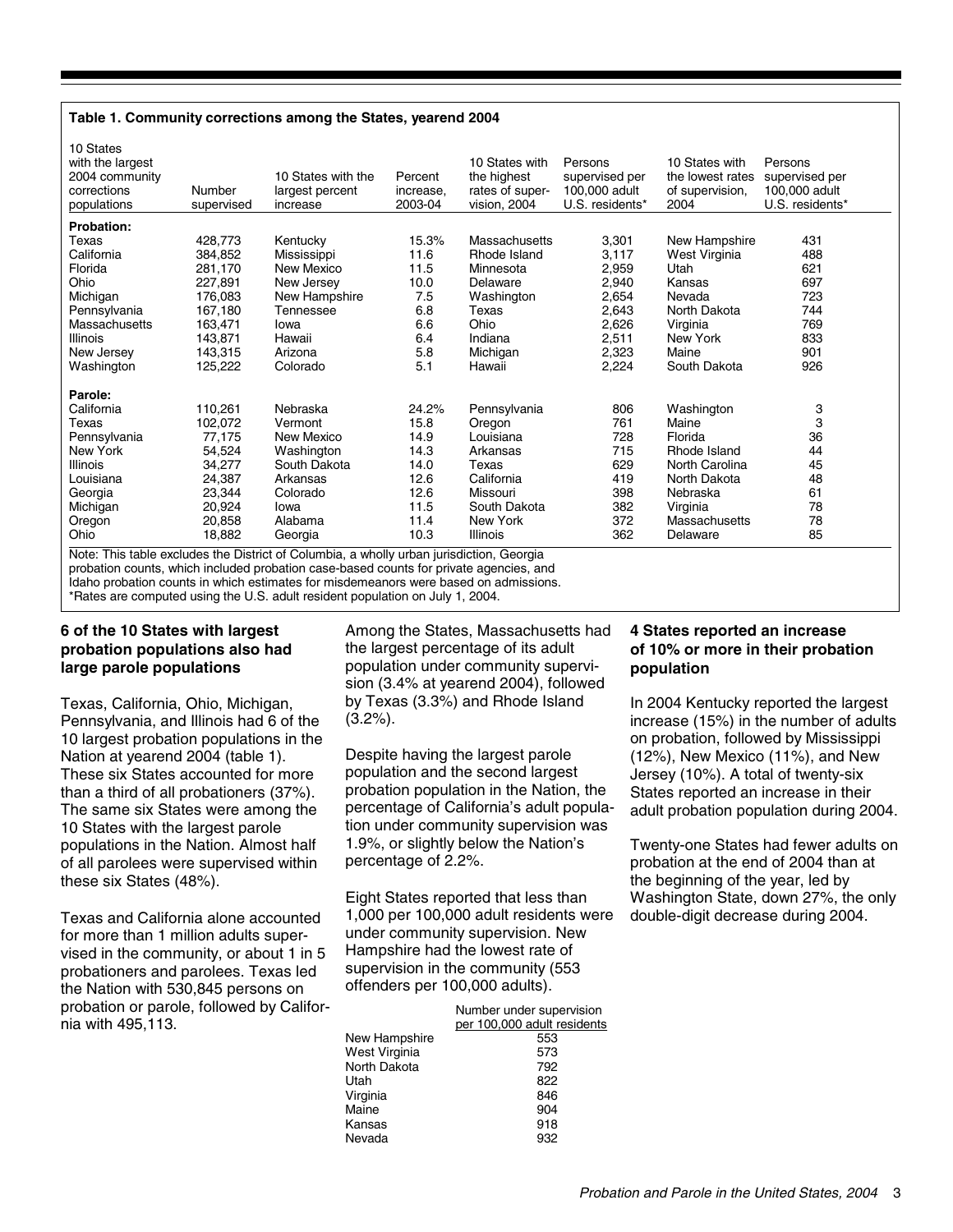#### **Table 1. Community corrections among the States, yearend 2004**

| 10 States with the<br>2004 community<br>Percent<br>the highest<br>supervised per<br>supervised per<br>the lowest rates<br>corrections<br>100,000 adult<br>100,000 adult<br>Number<br>rates of super-<br>of supervision,<br>largest percent<br>increase.<br>U.S. residents*<br>2003-04<br>U.S. residents*<br>2004<br>populations<br>vision, 2004<br>supervised<br>increase |  |
|---------------------------------------------------------------------------------------------------------------------------------------------------------------------------------------------------------------------------------------------------------------------------------------------------------------------------------------------------------------------------|--|
| <b>Probation:</b>                                                                                                                                                                                                                                                                                                                                                         |  |
| 15.3%<br>428,773<br>Massachusetts<br>3,301<br>New Hampshire<br>431<br>Texas<br>Kentucky                                                                                                                                                                                                                                                                                   |  |
| 488<br>California<br>384,852<br>11.6<br>Rhode Island<br>3,117<br>West Virginia<br>Mississippi                                                                                                                                                                                                                                                                             |  |
| 2,959<br>621<br>Florida<br>281,170<br>New Mexico<br>11.5<br>Utah<br>Minnesota                                                                                                                                                                                                                                                                                             |  |
| 697<br>Ohio<br>New Jersey<br>10.0<br>2,940<br>227,891<br>Delaware<br>Kansas                                                                                                                                                                                                                                                                                               |  |
| 7.5<br>723<br>Michigan<br>New Hampshire<br>Washington<br>2,654<br>176,083<br>Nevada                                                                                                                                                                                                                                                                                       |  |
| 2,643<br>167,180<br>6.8<br>North Dakota<br>744<br>Pennsylvania<br>Texas<br>Tennessee                                                                                                                                                                                                                                                                                      |  |
| 6.6<br>2,626<br>769<br>163,471<br>Ohio<br>Virginia<br>Massachusetts<br>Iowa                                                                                                                                                                                                                                                                                               |  |
| 833<br>143,871<br>6.4<br>Indiana<br>2,511<br>New York<br><b>Illinois</b><br>Hawaii                                                                                                                                                                                                                                                                                        |  |
| 5.8<br>2,323<br>901<br>143,315<br>Michigan<br>Maine<br>New Jersey<br>Arizona                                                                                                                                                                                                                                                                                              |  |
| 5.1<br>926<br>2,224<br>South Dakota<br>Washington<br>125,222<br>Colorado<br>Hawaii                                                                                                                                                                                                                                                                                        |  |
| Parole:                                                                                                                                                                                                                                                                                                                                                                   |  |
| 3<br>California<br>110,261<br>Nebraska<br>24.2%<br>806<br>Washington<br>Pennsylvania                                                                                                                                                                                                                                                                                      |  |
| 3<br>15.8<br>Texas<br>102,072<br>761<br>Maine<br>Vermont<br>Oregon                                                                                                                                                                                                                                                                                                        |  |
| 36<br>77,175<br>14.9<br>728<br>Pennsylvania<br>New Mexico<br>Florida<br>Louisiana                                                                                                                                                                                                                                                                                         |  |
| 44<br>715<br>New York<br>54,524<br>Washington<br>14.3<br>Rhode Island<br>Arkansas                                                                                                                                                                                                                                                                                         |  |
| 14.0<br>629<br>45<br>34,277<br>South Dakota<br>North Carolina<br>Illinois<br>Texas                                                                                                                                                                                                                                                                                        |  |
| 48<br>419<br>12.6<br>California<br>North Dakota<br>24,387<br>Louisiana<br>Arkansas                                                                                                                                                                                                                                                                                        |  |
| 12.6<br>61<br>23,344<br>398<br>Nebraska<br>Georgia<br>Colorado<br>Missouri                                                                                                                                                                                                                                                                                                |  |
| 78<br>11.5<br>South Dakota<br>20,924<br>382<br>Michigan<br>Virginia<br>Iowa                                                                                                                                                                                                                                                                                               |  |
| 78<br>372<br>20,858<br>11.4<br>Massachusetts<br>Oregon<br>Alabama<br>New York                                                                                                                                                                                                                                                                                             |  |
| 10.3<br>85<br>Ohio<br>18,882<br>Illinois<br>362<br>Delaware<br>Georgia                                                                                                                                                                                                                                                                                                    |  |

Note: This table excludes the District of Columbia, a wholly urban jurisdiction, Georgia probation counts, which included probation case-based counts for private agencies, and Idaho probation counts in which estimates for misdemeanors were based on admissions. \*Rates are computed using the U.S. adult resident population on July 1, 2004.

#### **6 of the 10 States with largest probation populations also had large parole populations**

Texas, California, Ohio, Michigan, Pennsylvania, and Illinois had 6 of the 10 largest probation populations in the Nation at yearend 2004 (table 1). These six States accounted for more than a third of all probationers (37%). The same six States were among the 10 States with the largest parole populations in the Nation. Almost half of all parolees were supervised within these six States (48%).

Texas and California alone accounted for more than 1 million adults supervised in the community, or about 1 in 5 probationers and parolees. Texas led the Nation with 530,845 persons on probation or parole, followed by California with 495,113.

Among the States, Massachusetts had the largest percentage of its adult population under community supervision (3.4% at yearend 2004), followed by Texas (3.3%) and Rhode Island (3.2%).

Despite having the largest parole population and the second largest probation population in the Nation, the percentage of California's adult population under community supervision was 1.9%, or slightly below the Nation's percentage of 2.2%.

Eight States reported that less than 1,000 per 100,000 adult residents were under community supervision. New Hampshire had the lowest rate of supervision in the community (553 offenders per 100,000 adults).

| Number under supervision<br>per 100,000 adult residents |
|---------------------------------------------------------|
| 553                                                     |
| 573                                                     |
| 792                                                     |
| 822                                                     |
| 846                                                     |
| 904                                                     |
| 918                                                     |
| 932                                                     |
|                                                         |

#### **4 States reported an increase of 10% or more in their probation population**

In 2004 Kentucky reported the largest increase (15%) in the number of adults on probation, followed by Mississippi (12%), New Mexico (11%), and New Jersey (10%). A total of twenty-six States reported an increase in their adult probation population during 2004.

Twenty-one States had fewer adults on probation at the end of 2004 than at the beginning of the year, led by Washington State, down 27%, the only double-digit decrease during 2004.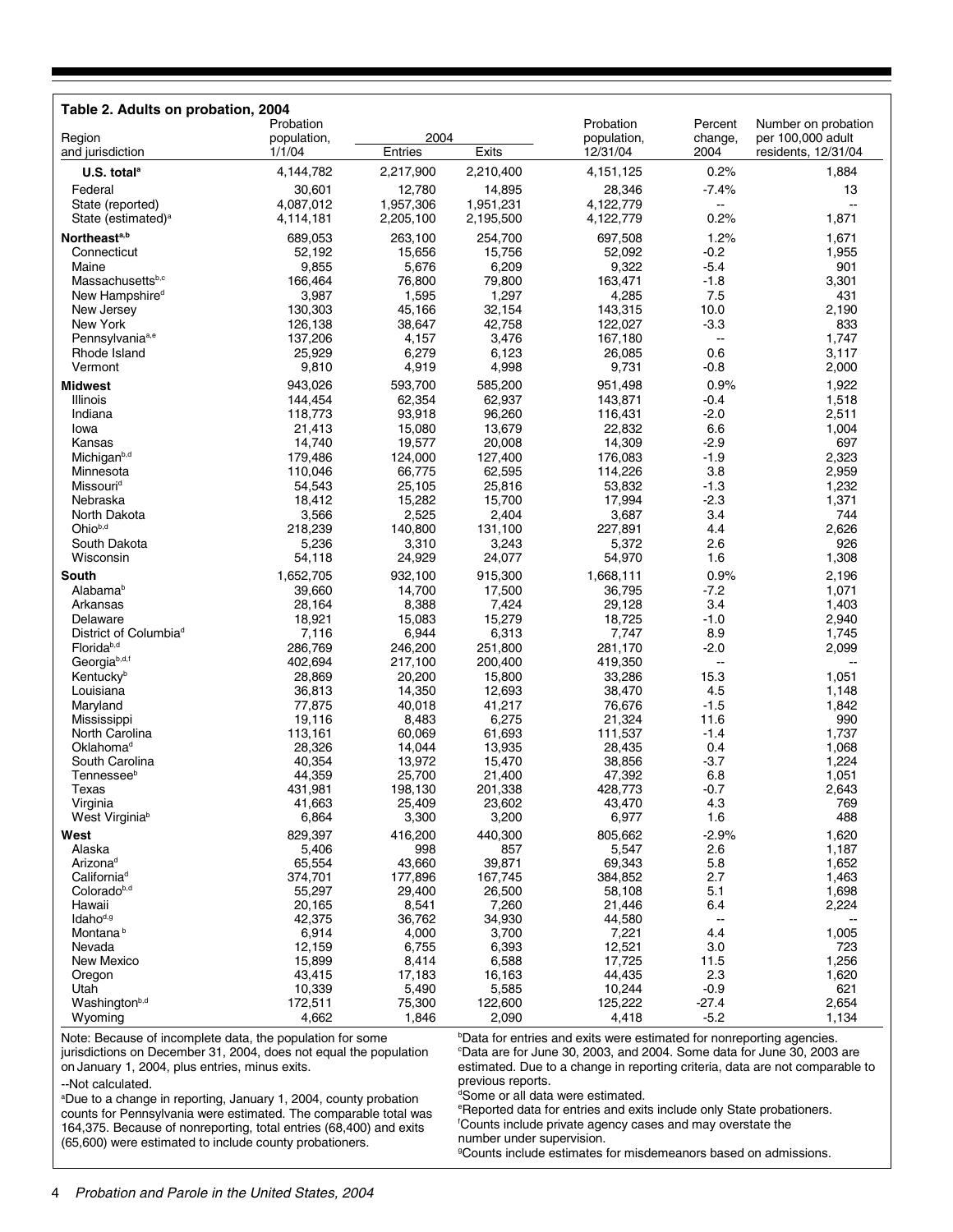| Table 2. Adults on probation, 2004                          |                    |                    |                    |                    |                        |                     |
|-------------------------------------------------------------|--------------------|--------------------|--------------------|--------------------|------------------------|---------------------|
|                                                             | Probation          |                    |                    | Probation          | Percent                | Number on probation |
| Region                                                      | population,        | 2004               |                    | population,        | change,                | per 100,000 adult   |
| and jurisdiction                                            | 1/1/04             | Entries            | Exits              | 12/31/04           | 2004                   | residents, 12/31/04 |
| U.S. total <sup>a</sup>                                     | 4,144,782          | 2,217,900          | 2,210,400          | 4,151,125          | 0.2%                   | 1,884               |
| Federal                                                     | 30,601             | 12,780             | 14,895             | 28,346             | $-7.4%$                | 13                  |
| State (reported)                                            | 4,087,012          | 1,957,306          | 1,951,231          | 4,122,779          | $\sim$                 |                     |
| State (estimated) <sup>a</sup>                              | 4,114,181          | 2,205,100          | 2,195,500          | 4,122,779          | 0.2%                   | 1,871               |
| Northeast <sup>a,b</sup>                                    | 689,053            | 263,100            | 254,700            | 697,508            | 1.2%                   | 1,671               |
| Connecticut                                                 | 52,192             | 15,656             | 15,756             | 52,092             | $-0.2$                 | 1,955               |
| Maine                                                       | 9,855              | 5,676              | 6,209              | 9,322              | $-5.4$                 | 901                 |
| Massachusettsb,c                                            | 166,464            | 76,800             | 79,800             | 163,471            | $-1.8$                 | 3,301               |
| New Hampshire <sup>d</sup>                                  | 3,987              | 1,595              | 1,297              | 4,285              | 7.5                    | 431                 |
| New Jersey                                                  | 130,303            | 45,166             | 32,154             | 143,315            | 10.0                   | 2,190               |
| New York                                                    | 126,138            | 38,647             | 42,758             | 122,027            | $-3.3$                 | 833                 |
| Pennsylvania <sup>a,e</sup>                                 | 137,206            | 4,157              | 3,476              | 167,180            | $\sim$                 | 1,747               |
| Rhode Island                                                | 25,929             | 6,279              | 6,123              | 26,085             | 0.6                    | 3,117               |
| Vermont                                                     | 9,810              | 4,919              | 4,998              | 9,731              | $-0.8$                 | 2,000               |
| <b>Midwest</b>                                              | 943,026            | 593,700            | 585,200            | 951,498            | 0.9%                   | 1,922               |
| Illinois                                                    | 144,454            | 62,354             | 62,937             | 143,871            | $-0.4$                 | 1,518               |
| Indiana                                                     | 118,773            | 93,918             | 96,260             | 116,431            | $-2.0$                 | 2,511               |
| Iowa                                                        | 21,413             | 15,080             | 13,679             | 22,832             | 6.6                    | 1,004               |
| Kansas                                                      | 14,740             | 19,577             | 20,008             | 14,309             | $-2.9$                 | 697                 |
| Michigan <sup>b,d</sup>                                     | 179,486            | 124,000            | 127,400            | 176,083            | $-1.9$                 | 2,323               |
| Minnesota                                                   | 110,046            | 66,775             | 62,595             | 114,226            | 3.8                    | 2,959               |
| Missouri <sup>d</sup>                                       | 54,543             | 25,105             | 25,816             | 53,832             | $-1.3$                 | 1,232               |
| Nebraska                                                    | 18,412             | 15,282             | 15,700             | 17,994             | $-2.3$                 | 1,371               |
| North Dakota                                                | 3,566              | 2,525              | 2,404              | 3,687              | 3.4                    | 744                 |
| Ohiob,d                                                     | 218,239            | 140,800            | 131,100            | 227,891            | 4.4                    | 2,626               |
| South Dakota                                                | 5,236              | 3,310              | 3,243              | 5,372              | 2.6                    | 926                 |
| Wisconsin                                                   | 54,118             | 24,929             | 24,077             | 54,970             | 1.6                    | 1,308               |
| South                                                       | 1,652,705          | 932,100            | 915,300            | 1,668,111          | 0.9%                   | 2,196               |
| Alabamab                                                    | 39,660             | 14,700             | 17,500             | 36,795             | $-7.2$                 | 1,071               |
| Arkansas                                                    | 28,164             | 8,388              | 7,424              | 29,128             | 3.4                    | 1,403               |
| Delaware                                                    | 18,921             | 15,083             | 15,279             | 18,725             | $-1.0$                 | 2,940               |
| District of Columbia <sup>d</sup><br>Florida <sup>b,d</sup> | 7,116              | 6,944              | 6,313              | 7,747              | 8.9                    | 1,745               |
| Georgiab,d,f                                                | 286,769<br>402,694 | 246,200<br>217,100 | 251,800<br>200,400 | 281,170<br>419,350 | $-2.0$<br>$\mathbf{u}$ | 2,099<br>ш.         |
| Kentuckyb                                                   | 28,869             | 20,200             | 15,800             | 33,286             | 15.3                   | 1,051               |
| Louisiana                                                   | 36,813             | 14,350             | 12,693             | 38,470             | 4.5                    | 1,148               |
| Maryland                                                    | 77,875             | 40,018             | 41,217             | 76,676             | $-1.5$                 | 1,842               |
| Mississippi                                                 | 19,116             | 8,483              | 6,275              | 21,324             | 11.6                   | 990                 |
| North Carolina                                              | 113,161            | 60.069             | 61,693             | 111,537            | $-1.4$                 | 1,737               |
| Oklahoma <sup>d</sup>                                       | 28,326             | 14,044             | 13,935             | 28,435             | 0.4                    | 1,068               |
| South Carolina                                              | 40,354             | 13,972             | 15,470             | 38,856             | $-3.7$                 | 1,224               |
| Tennessee <sup>b</sup>                                      | 44,359             | 25,700             | 21,400             | 47,392             | 6.8                    | 1,051               |
| Texas                                                       | 431,981            | 198,130            | 201,338            | 428,773            | $-0.7$                 | 2,643               |
| Virginia                                                    | 41,663             | 25,409             | 23,602             | 43,470             | 4.3                    | 769                 |
| West Virginia <sup>b</sup>                                  | 6,864              | 3,300              | 3,200              | 6,977              | 1.6                    | 488                 |
| West                                                        | 829,397            | 416,200            | 440,300            | 805,662            | $-2.9%$                | 1,620               |
| Alaska                                                      | 5,406              | 998                | 857                | 5,547              | 2.6                    | 1,187               |
| Arizona <sup>d</sup>                                        | 65,554             | 43,660             | 39,871             | 69,343             | 5.8                    | 1,652               |
| California <sup>d</sup>                                     | 374,701            | 177,896            | 167,745            | 384,852            | 2.7                    | 1,463               |
| Coloradob,d                                                 | 55,297             | 29,400             | 26,500             | 58,108             | 5.1                    | 1,698               |
| Hawaii                                                      | 20,165             | 8,541              | 7,260              | 21,446             | 6.4                    | 2,224               |
| Idaho <sup>d,g</sup>                                        | 42,375             | 36,762             | 34,930             | 44,580             | $\sim$                 |                     |
| Montana <sup>b</sup>                                        | 6,914              | 4,000              | 3,700              | 7,221              | 4.4                    | 1,005               |
| Nevada<br>New Mexico                                        | 12,159<br>15,899   | 6,755<br>8,414     | 6,393<br>6,588     | 12,521<br>17,725   | 3.0<br>11.5            | 723<br>1,256        |
| Oregon                                                      | 43,415             | 17,183             | 16,163             | 44,435             | 2.3                    | 1,620               |
| Utah                                                        | 10,339             | 5,490              | 5,585              | 10,244             | $-0.9$                 | 621                 |
| Washington <sup>b,d</sup>                                   | 172,511            | 75,300             | 122,600            | 125,222            | $-27.4$                | 2,654               |
| Wyoming                                                     | 4,662              | 1,846              | 2,090              | 4,418              | $-5.2$                 | 1,134               |

Note: Because of incomplete data, the population for some jurisdictions on December 31, 2004, does not equal the population on January 1, 2004, plus entries, minus exits.

a Due to a change in reporting, January 1, 2004, county probation counts for Pennsylvania were estimated. The comparable total was

b Data for entries and exits were estimated for nonreporting agencies. c Data are for June 30, 2003, and 2004. Some data for June 30, 2003 are estimated. Due to a change in reporting criteria, data are not comparable to previous reports.

d Some or all data were estimated.

e Reported data for entries and exits include only State probationers. f Counts include private agency cases and may overstate the number under supervision.

164,375. Because of nonreporting, total entries (68,400) and exits (65,600) were estimated to include county probationers.

g Counts include estimates for misdemeanors based on admissions.

--Not calculated.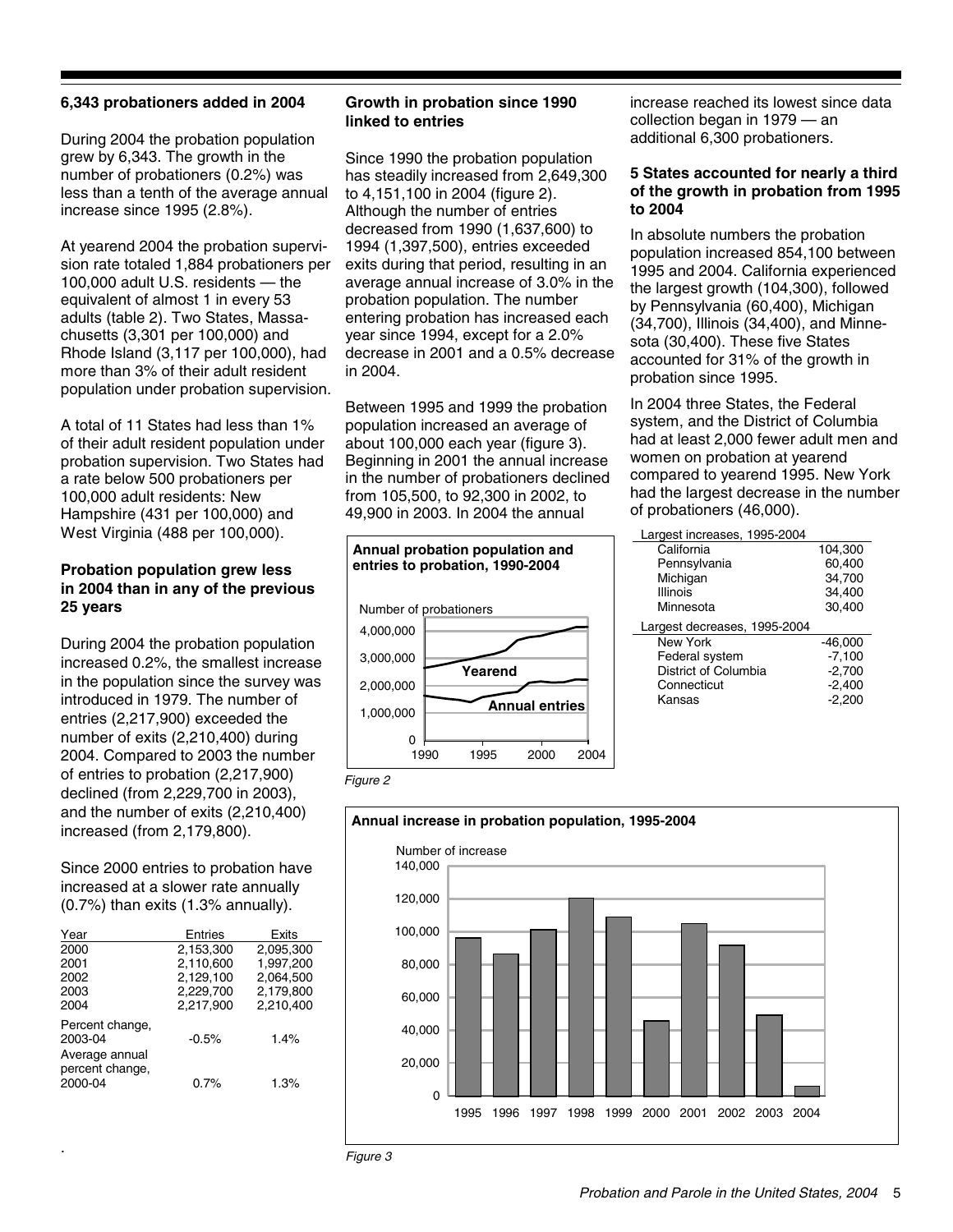#### **6,343 probationers added in 2004**

During 2004 the probation population grew by 6,343. The growth in the number of probationers (0.2%) was less than a tenth of the average annual increase since 1995 (2.8%).

At yearend 2004 the probation supervision rate totaled 1,884 probationers per 100,000 adult U.S. residents — the equivalent of almost 1 in every 53 adults (table 2). Two States, Massachusetts (3,301 per 100,000) and Rhode Island (3,117 per 100,000), had more than 3% of their adult resident population under probation supervision.

A total of 11 States had less than 1% of their adult resident population under probation supervision. Two States had a rate below 500 probationers per 100,000 adult residents: New Hampshire (431 per 100,000) and West Virginia (488 per 100,000).

#### **Probation population grew less in 2004 than in any of the previous 25 years**

During 2004 the probation population increased 0.2%, the smallest increase in the population since the survey was introduced in 1979. The number of entries (2,217,900) exceeded the number of exits (2,210,400) during 2004. Compared to 2003 the number of entries to probation (2,217,900) declined (from 2,229,700 in 2003), and the number of exits (2,210,400) increased (from 2,179,800).

Since 2000 entries to probation have increased at a slower rate annually (0.7%) than exits (1.3% annually).

| Year                                         | Entries   | Exits     |
|----------------------------------------------|-----------|-----------|
| 2000                                         | 2,153,300 | 2,095,300 |
| 2001                                         | 2,110,600 | 1,997,200 |
| 2002                                         | 2,129,100 | 2,064,500 |
| 2003                                         | 2,229,700 | 2,179,800 |
| 2004                                         | 2.217.900 | 2.210.400 |
| Percent change,<br>2003-04                   | $-0.5%$   | 1.4%      |
| Average annual<br>percent change.<br>2000-04 | 0.7%      | 1.3%      |

.

#### **Growth in probation since 1990 linked to entries**

Since 1990 the probation population has steadily increased from 2,649,300 to 4,151,100 in 2004 (figure 2). Although the number of entries decreased from 1990 (1,637,600) to 1994 (1,397,500), entries exceeded exits during that period, resulting in an average annual increase of 3.0% in the probation population. The number entering probation has increased each year since 1994, except for a 2.0% decrease in 2001 and a 0.5% decrease in 2004.

Between 1995 and 1999 the probation population increased an average of about 100,000 each year (figure 3). Beginning in 2001 the annual increase in the number of probationers declined from 105,500, to 92,300 in 2002, to 49,900 in 2003. In 2004 the annual



increase reached its lowest since data collection began in 1979 — an additional 6,300 probationers.

#### **5 States accounted for nearly a third of the growth in probation from 1995 to 2004**

In absolute numbers the probation population increased 854,100 between 1995 and 2004. California experienced the largest growth (104,300), followed by Pennsylvania (60,400), Michigan (34,700), Illinois (34,400), and Minnesota (30,400). These five States accounted for 31% of the growth in probation since 1995.

In 2004 three States, the Federal system, and the District of Columbia had at least 2,000 fewer adult men and women on probation at yearend compared to yearend 1995. New York had the largest decrease in the number of probationers (46,000).

| Largest increases, 1995-2004 |           |
|------------------------------|-----------|
| California                   | 104,300   |
| Pennsylvania                 | 60,400    |
| Michigan                     | 34.700    |
| Illinois                     | 34,400    |
| Minnesota                    | 30,400    |
|                              |           |
| Largest decreases, 1995-2004 |           |
| New York                     | $-46,000$ |
| Federal system               | $-7,100$  |
| District of Columbia         | $-2,700$  |
| Connecticut                  | $-2,400$  |
| Kansas                       | $-2.200$  |



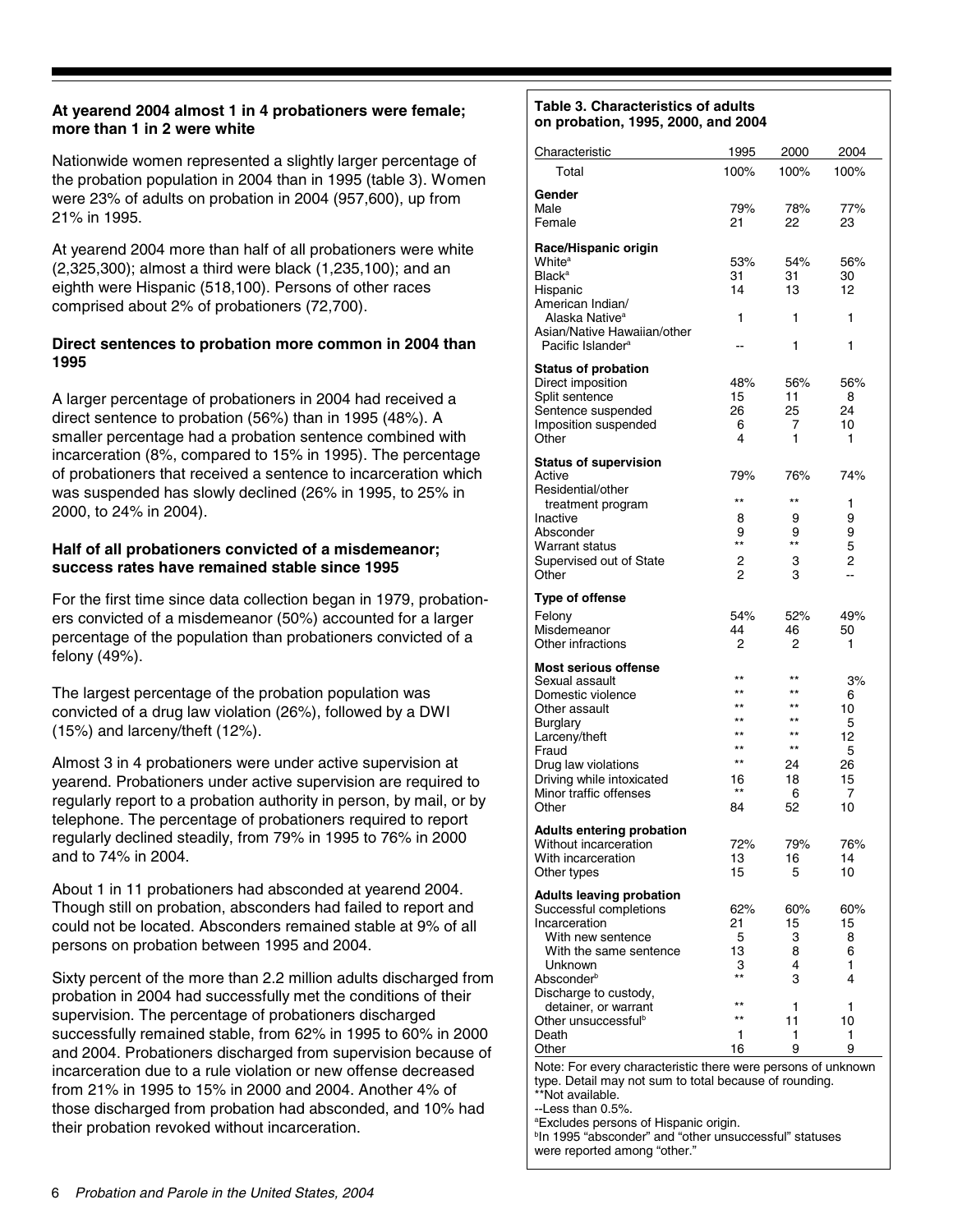#### **on probation, 1995, 2000, and 2004 At yearend 2004 almost 1 in 4 probationers were female; more than 1 in 2 were white**

Nationwide women represented a slightly larger percentage of the probation population in 2004 than in 1995 (table 3). Women were 23% of adults on probation in 2004 (957,600), up from 21% in 1995.

At yearend 2004 more than half of all probationers were white (2,325,300); almost a third were black (1,235,100); and an eighth were Hispanic (518,100). Persons of other races comprised about 2% of probationers (72,700).

#### **Direct sentences to probation more common in 2004 than 1995**

A larger percentage of probationers in 2004 had received a direct sentence to probation (56%) than in 1995 (48%). A smaller percentage had a probation sentence combined with incarceration (8%, compared to 15% in 1995). The percentage of probationers that received a sentence to incarceration which was suspended has slowly declined (26% in 1995, to 25% in 2000, to 24% in 2004).

#### **Half of all probationers convicted of a misdemeanor; success rates have remained stable since 1995**

For the first time since data collection began in 1979, probationers convicted of a misdemeanor (50%) accounted for a larger percentage of the population than probationers convicted of a felony (49%).

The largest percentage of the probation population was convicted of a drug law violation (26%), followed by a DWI (15%) and larceny/theft (12%).

Almost 3 in 4 probationers were under active supervision at yearend. Probationers under active supervision are required to regularly report to a probation authority in person, by mail, or by telephone. The percentage of probationers required to report regularly declined steadily, from 79% in 1995 to 76% in 2000 and to 74% in 2004.

About 1 in 11 probationers had absconded at yearend 2004. Though still on probation, absconders had failed to report and could not be located. Absconders remained stable at 9% of all persons on probation between 1995 and 2004.

Sixty percent of the more than 2.2 million adults discharged from probation in 2004 had successfully met the conditions of their supervision. The percentage of probationers discharged successfully remained stable, from 62% in 1995 to 60% in 2000 and 2004. Probationers discharged from supervision because of incarceration due to a rule violation or new offense decreased from 21% in 1995 to 15% in 2000 and 2004. Another 4% of those discharged from probation had absconded, and 10% had their probation revoked without incarceration.

## **Table 3. Characteristics of adults**

| Characteristic                                                                                                         | 1995                         | 2000            | 2004      |  |  |  |
|------------------------------------------------------------------------------------------------------------------------|------------------------------|-----------------|-----------|--|--|--|
| Total                                                                                                                  | 100%                         | 100%            | 100%      |  |  |  |
| Gender                                                                                                                 |                              |                 |           |  |  |  |
| Male<br>Female                                                                                                         | 79%<br>21                    | 78%<br>22       | 77%<br>23 |  |  |  |
|                                                                                                                        |                              |                 |           |  |  |  |
| Race/Hispanic origin<br>White <sup>a</sup>                                                                             | 53%                          | 54%             | 56%       |  |  |  |
| <b>Black<sup>a</sup></b>                                                                                               | 31                           | 31              | 30        |  |  |  |
| Hispanic                                                                                                               | 14                           | 13              | 12        |  |  |  |
| American Indian/                                                                                                       |                              |                 |           |  |  |  |
| Alaska Native <sup>a</sup><br>Asian/Native Hawaiian/other                                                              | 1                            | 1               | 1         |  |  |  |
| Pacific Islander <sup>a</sup>                                                                                          |                              | 1               | 1         |  |  |  |
| <b>Status of probation</b>                                                                                             |                              |                 |           |  |  |  |
| Direct imposition                                                                                                      | 48%                          | 56%             | 56%       |  |  |  |
| Split sentence                                                                                                         | 15                           | 11              | 8         |  |  |  |
| Sentence suspended<br>Imposition suspended                                                                             | 26<br>6                      | 25<br>7         | 24<br>10  |  |  |  |
| Other                                                                                                                  | 4                            | 1               | 1         |  |  |  |
| <b>Status of supervision</b>                                                                                           |                              |                 |           |  |  |  |
| Active                                                                                                                 | 79%                          | 76%             | 74%       |  |  |  |
| Residential/other                                                                                                      | $\star\star$                 | $^{\star\star}$ |           |  |  |  |
| treatment program<br>Inactive                                                                                          | 8                            | 9               | 1<br>9    |  |  |  |
| Absconder                                                                                                              | 9                            | 9               | 9         |  |  |  |
| Warrant status                                                                                                         | **                           | **              | 5         |  |  |  |
| Supervised out of State<br>Other                                                                                       | 2<br>$\overline{2}$          | 3<br>3          | 2<br>ш,   |  |  |  |
|                                                                                                                        |                              |                 |           |  |  |  |
| <b>Type of offense</b>                                                                                                 |                              |                 |           |  |  |  |
| Felony<br>Misdemeanor                                                                                                  | 54%<br>44                    | 52%<br>46       | 49%<br>50 |  |  |  |
| Other infractions                                                                                                      | 2                            | 2               | 1         |  |  |  |
| <b>Most serious offense</b>                                                                                            |                              |                 |           |  |  |  |
| Sexual assault                                                                                                         | $^{\star\star}$              | $**$            | 3%        |  |  |  |
| Domestic violence                                                                                                      | $^{\star\star}$              | $***$           | 6         |  |  |  |
| Other assault                                                                                                          | $\star\star$<br>$\star\star$ | $***$<br>$***$  | 10        |  |  |  |
| <b>Burglary</b><br>Larceny/theft                                                                                       | $***$                        | $***$           | 5<br>12   |  |  |  |
| Fraud                                                                                                                  | $\star\star$                 | $^{\star\star}$ | 5         |  |  |  |
| Drug law violations                                                                                                    | $***$                        | 24              | 26        |  |  |  |
| Driving while intoxicated<br>Minor traffic offenses                                                                    | 16<br>$***$                  | 18<br>6         | 15<br>7   |  |  |  |
| Other                                                                                                                  | 84                           | 52              | 10        |  |  |  |
| <b>Adults entering probation</b>                                                                                       |                              |                 |           |  |  |  |
| Without incarceration                                                                                                  | 72%                          | 79%             | 76%       |  |  |  |
| With incarceration                                                                                                     | 13                           | 16              | 14        |  |  |  |
| Other types                                                                                                            | 15                           | 5               | 10        |  |  |  |
| <b>Adults leaving probation</b>                                                                                        |                              |                 |           |  |  |  |
| Successful completions<br>Incarceration                                                                                | 62%<br>21                    | 60%<br>15       | 60%<br>15 |  |  |  |
| With new sentence                                                                                                      | 5                            | 3               | 8         |  |  |  |
| With the same sentence                                                                                                 | 13                           | 8               | 6         |  |  |  |
| Unknown<br>Absconder <sup>b</sup>                                                                                      | З<br>$^{\star\star}$         | 4               | 1<br>4    |  |  |  |
| Discharge to custody,                                                                                                  |                              | 3               |           |  |  |  |
| detainer, or warrant                                                                                                   | $^{\star\star}$              | 1               | 1         |  |  |  |
| Other unsuccessful <sup>b</sup>                                                                                        | **                           | 11              | 10        |  |  |  |
| Death                                                                                                                  | 1<br>16                      | 1<br>9          | 1<br>9    |  |  |  |
| Other                                                                                                                  |                              |                 |           |  |  |  |
| Note: For every characteristic there were persons of unknown<br>type. Detail may not sum to total because of rounding. |                              |                 |           |  |  |  |
| **Not available.                                                                                                       |                              |                 |           |  |  |  |
| --Less than 0.5%.                                                                                                      |                              |                 |           |  |  |  |

a Excludes persons of Hispanic origin. b In 1995 "absconder" and "other unsuccessful" statuses were reported among "other."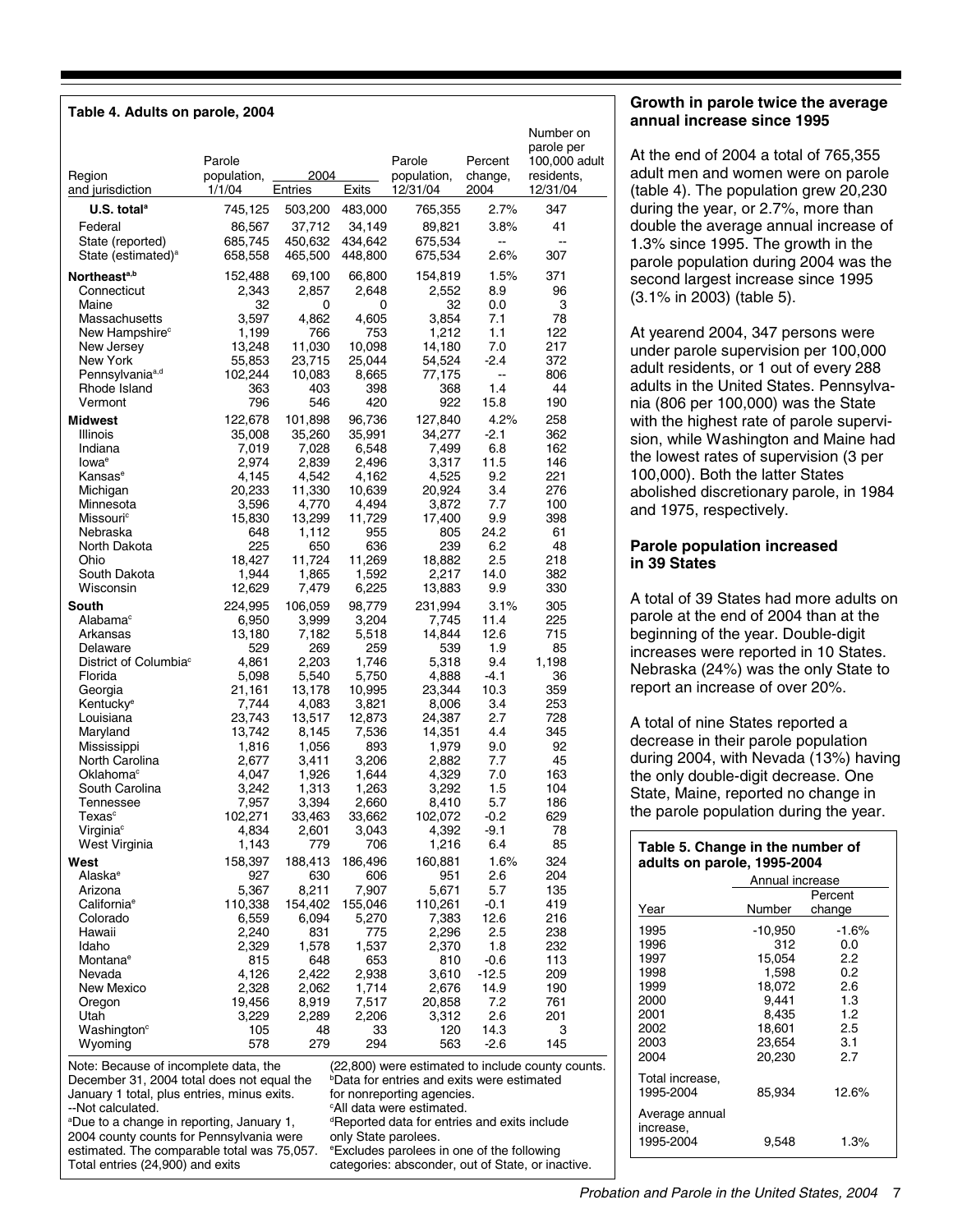| Table 4. Adults on parole, 2004                                   |                                 |                   |                      |                                                                     |                            |                                                                    |
|-------------------------------------------------------------------|---------------------------------|-------------------|----------------------|---------------------------------------------------------------------|----------------------------|--------------------------------------------------------------------|
| Region<br>and jurisdiction                                        | Parole<br>population,<br>1/1/04 | 2004<br>Entries   | Exits                | Parole<br>population,<br>12/31/04                                   | Percent<br>change,<br>2004 | Number on<br>parole per<br>100,000 adult<br>residents,<br>12/31/04 |
| U.S. total <sup>a</sup>                                           | 745,125                         | 503,200           | 483,000              | 765,355                                                             | 2.7%                       | 347                                                                |
| Federal                                                           | 86,567                          | 37,712            | 34,149               | 89,821                                                              | 3.8%                       | 41                                                                 |
| State (reported)                                                  | 685,745                         | 450,632           | 434,642              | 675,534                                                             | Щ,                         | -−                                                                 |
| State (estimated) <sup>a</sup>                                    | 658,558                         | 465,500           | 448,800              | 675,534                                                             | 2.6%                       | 307                                                                |
| Northeast <sup>a,b</sup>                                          | 152,488                         | 69,100            | 66,800               | 154,819                                                             | 1.5%                       | 371                                                                |
| Connecticut                                                       | 2,343                           | 2,857             | 2.648                | 2,552                                                               | 8.9                        | 96                                                                 |
| Maine                                                             | 32                              | 0                 | 0                    | 32                                                                  | 0.0                        | 3                                                                  |
| Massachusetts<br>New Hampshire <sup>c</sup>                       | 3,597<br>1,199                  | 4,862<br>766      | 4,605<br>753         | 3,854<br>1,212                                                      | 7.1<br>1.1                 | 78<br>122                                                          |
| New Jersey                                                        | 13,248                          | 11,030            | 10,098               | 14,180                                                              | 7.0                        | 217                                                                |
| New York                                                          | 55,853                          | 23,715            | 25,044               | 54,524                                                              | -2.4                       | 372                                                                |
| Pennsylvania <sup>a,d</sup>                                       | 102,244                         | 10,083            | 8,665                | 77,175                                                              | ÷÷                         | 806                                                                |
| Rhode Island<br>Vermont                                           | 363<br>796                      | 403<br>546        | 398<br>420           | 368<br>922                                                          | 1.4<br>15.8                | 44<br>190                                                          |
|                                                                   |                                 |                   |                      |                                                                     |                            |                                                                    |
| <b>Midwest</b><br>Illinois                                        | 122,678<br>35,008               | 101,898<br>35,260 | 96,736<br>35,991     | 127,840<br>34,277                                                   | 4.2%<br>$-2.1$             | 258<br>362                                                         |
| Indiana                                                           | 7,019                           | 7,028             | 6,548                | 7,499                                                               | 6.8                        | 162                                                                |
| lowa <sup>e</sup>                                                 | 2,974                           | 2,839             | 2,496                | 3,317                                                               | 11.5                       | 146                                                                |
| Kansas <sup>e</sup>                                               | 4,145                           | 4,542             | 4,162                | 4,525                                                               | 9.2                        | 221                                                                |
| Michigan                                                          | 20,233                          | 11,330            | 10,639<br>4,494      | 20,924                                                              | 3.4<br>7.7                 | 276<br>100                                                         |
| Minnesota<br>Missouri <sup>c</sup>                                | 3,596<br>15,830                 | 4,770<br>13,299   | 11,729               | 3,872<br>17,400                                                     | 9.9                        | 398                                                                |
| Nebraska                                                          | 648                             | 1,112             | 955                  | 805                                                                 | 24.2                       | 61                                                                 |
| North Dakota                                                      | 225                             | 650               | 636                  | 239                                                                 | 6.2                        | 48                                                                 |
| Ohio                                                              | 18,427                          | 11,724            | 11,269               | 18,882                                                              | 2.5                        | 218                                                                |
| South Dakota<br>Wisconsin                                         | 1,944<br>12,629                 | 1,865<br>7,479    | 1,592<br>6,225       | 2,217<br>13,883                                                     | 14.0<br>9.9                | 382<br>330                                                         |
| South                                                             | 224,995                         | 106,059           | 98,779               | 231,994                                                             | 3.1%                       | 305                                                                |
| Alabama <sup>c</sup>                                              | 6,950                           | 3,999             | 3,204                | 7,745                                                               | 11.4                       | 225                                                                |
| Arkansas                                                          | 13,180                          | 7,182             | 5,518                | 14,844                                                              | 12.6                       | 715                                                                |
| Delaware                                                          | 529                             | 269               | 259                  | 539                                                                 | 1.9                        | 85                                                                 |
| District of Columbia <sup>c</sup><br>Florida                      | 4,861                           | 2,203             | 1,746                | 5,318                                                               | 9.4<br>-4.1                | 1,198<br>36                                                        |
| Georgia                                                           | 5,098<br>21,161                 | 5,540<br>13,178   | 5,750<br>10,995      | 4,888<br>23,344                                                     | 10.3                       | 359                                                                |
| Kentucky <sup>e</sup>                                             | 7,744                           | 4,083             | 3,821                | 8,006                                                               | 3.4                        | 253                                                                |
| Louisiana                                                         | 23,743                          | 13,517            | 12,873               | 24,387                                                              | 2.7                        | 728                                                                |
| Maryland                                                          | 13,742                          | 8,145             | 7,536                | 14,351                                                              | 4.4                        | 345                                                                |
| Mississippi<br>North Carolina                                     | 1,816<br>2,677                  | 1,056<br>3,411    | 893<br>3,206         | 1,979<br>2,882                                                      | 9.0<br>7.7                 | 92<br>45                                                           |
| Oklahoma <sup>c</sup>                                             | 4,047                           | 1,926             | 1,644                | 4,329                                                               | 7.0                        | 163                                                                |
| South Carolina                                                    | 3,242                           | 1,313             | 1,263                | 3,292                                                               | 1.5                        | 104                                                                |
| <b>Tennessee</b>                                                  | 7,957                           | 3,394             | 2,660                | 8,410                                                               | 5.7                        | 186                                                                |
| Texas <sup>c</sup><br>Virginia <sup>c</sup>                       | 102,271<br>4,834                | 33,463<br>2,601   | 33,662<br>3,043      | 102,072<br>4,392                                                    | -0.2<br>$-9.1$             | 629<br>78                                                          |
| West Virginia                                                     | 1,143                           | 779               | 706                  | 1,216                                                               | 6.4                        | 85                                                                 |
| West                                                              | 158,397                         | 188,413           | 186,496              | 160,881                                                             | 1.6%                       | 324                                                                |
| Alaska <sup>e</sup>                                               | 927                             | 630               | 606                  | 951                                                                 | 2.6                        | 204                                                                |
| Arizona                                                           | 5,367                           | 8,211             | 7,907                | 5,671                                                               | 5.7                        | 135                                                                |
| California <sup>e</sup>                                           | 110,338                         | 154,402<br>6,094  | 155,046              | 110,261                                                             | $-0.1$<br>12.6             | 419                                                                |
| Colorado<br>Hawaii                                                | 6,559<br>2,240                  | 831               | 5,270<br>775         | 7,383<br>2,296                                                      | 2.5                        | 216<br>238                                                         |
| Idaho                                                             | 2,329                           | 1,578             | 1,537                | 2,370                                                               | 1.8                        | 232                                                                |
| Montana <sup>e</sup>                                              | 815                             | 648               | 653                  | 810                                                                 | $-0.6$                     | 113                                                                |
| Nevada                                                            | 4,126                           | 2,422             | 2,938                | 3,610                                                               | $-12.5$                    | 209                                                                |
| New Mexico<br>Oregon                                              | 2,328<br>19,456                 | 2,062<br>8,919    | 1,714<br>7,517       | 2,676<br>20,858                                                     | 14.9<br>7.2                | 190<br>761                                                         |
| Utah                                                              | 3,229                           | 2,289             | 2,206                | 3,312                                                               | 2.6                        | 201                                                                |
| Washington <sup>c</sup>                                           | 105                             | 48                | 33                   | 120                                                                 | 14.3                       | 3                                                                  |
| Wyoming                                                           | 578                             | 279               | 294                  | 563                                                                 | $-2.6$                     | 145                                                                |
| Note: Because of incomplete data, the                             |                                 |                   |                      |                                                                     |                            | (22,800) were estimated to include county counts.                  |
| December 31, 2004 total does not equal the                        |                                 |                   |                      | <b>Data for entries and exits were estimated</b>                    |                            |                                                                    |
| January 1 total, plus entries, minus exits.<br>-- Not calculated. |                                 |                   |                      | for nonreporting agencies.<br><sup>c</sup> All data were estimated. |                            |                                                                    |
| <sup>a</sup> Due to a change in reporting, January 1,             |                                 |                   |                      | <sup>d</sup> Reported data for entries and exits include            |                            |                                                                    |
| 2004 county counts for Pennsylvania were                          |                                 |                   | only State parolees. |                                                                     |                            |                                                                    |
| estimated. The comparable total was 75,057.                       |                                 |                   |                      | <sup>e</sup> Excludes parolees in one of the following              |                            |                                                                    |

Total entries (24,900) and exits

categories: absconder, out of State, or inactive.

#### **Growth in parole twice the average annual increase since 1995**

At the end of 2004 a total of 765,355 adult men and women were on parole (table 4). The population grew 20,230 during the year, or 2.7%, more than double the average annual increase of 1.3% since 1995. The growth in the parole population during 2004 was the second largest increase since 1995 (3.1% in 2003) (table 5).

At yearend 2004, 347 persons were under parole supervision per 100,000 adult residents, or 1 out of every 288 adults in the United States. Pennsylvania (806 per 100,000) was the State with the highest rate of parole supervision, while Washington and Maine had the lowest rates of supervision (3 per 100,000). Both the latter States abolished discretionary parole, in 1984 and 1975, respectively.

#### **Parole population increased in 39 States**

A total of 39 States had more adults on parole at the end of 2004 than at the beginning of the year. Double-digit increases were reported in 10 States. Nebraska (24%) was the only State to report an increase of over 20%.

A total of nine States reported a decrease in their parole population during 2004, with Nevada (13%) having the only double-digit decrease. One State, Maine, reported no change in the parole population during the year.

#### **Table 5. Change in the number of adults on parole, 1995-2004**

|                                          | Annual increase |         |  |  |
|------------------------------------------|-----------------|---------|--|--|
|                                          | Percent         |         |  |  |
| Year                                     | Number          | change  |  |  |
| 1995                                     | $-10,950$       | $-1.6%$ |  |  |
| 1996                                     | 312             | 0.0     |  |  |
| 1997                                     | 15.054          | 2.2     |  |  |
| 1998                                     | 1,598           | 0.2     |  |  |
| 1999                                     | 18,072          | 2.6     |  |  |
| 2000                                     | 9.441           | 1.3     |  |  |
| 2001                                     | 8.435           | 1.2     |  |  |
| 2002                                     | 18,601          | 2.5     |  |  |
| 2003                                     | 23.654          | 3.1     |  |  |
| 2004                                     | 20,230          | 2.7     |  |  |
| Total increase,<br>1995-2004             | 85,934          | 12.6%   |  |  |
| Average annual<br>increase,<br>1995-2004 | 9.548           | 1.3%    |  |  |
|                                          |                 |         |  |  |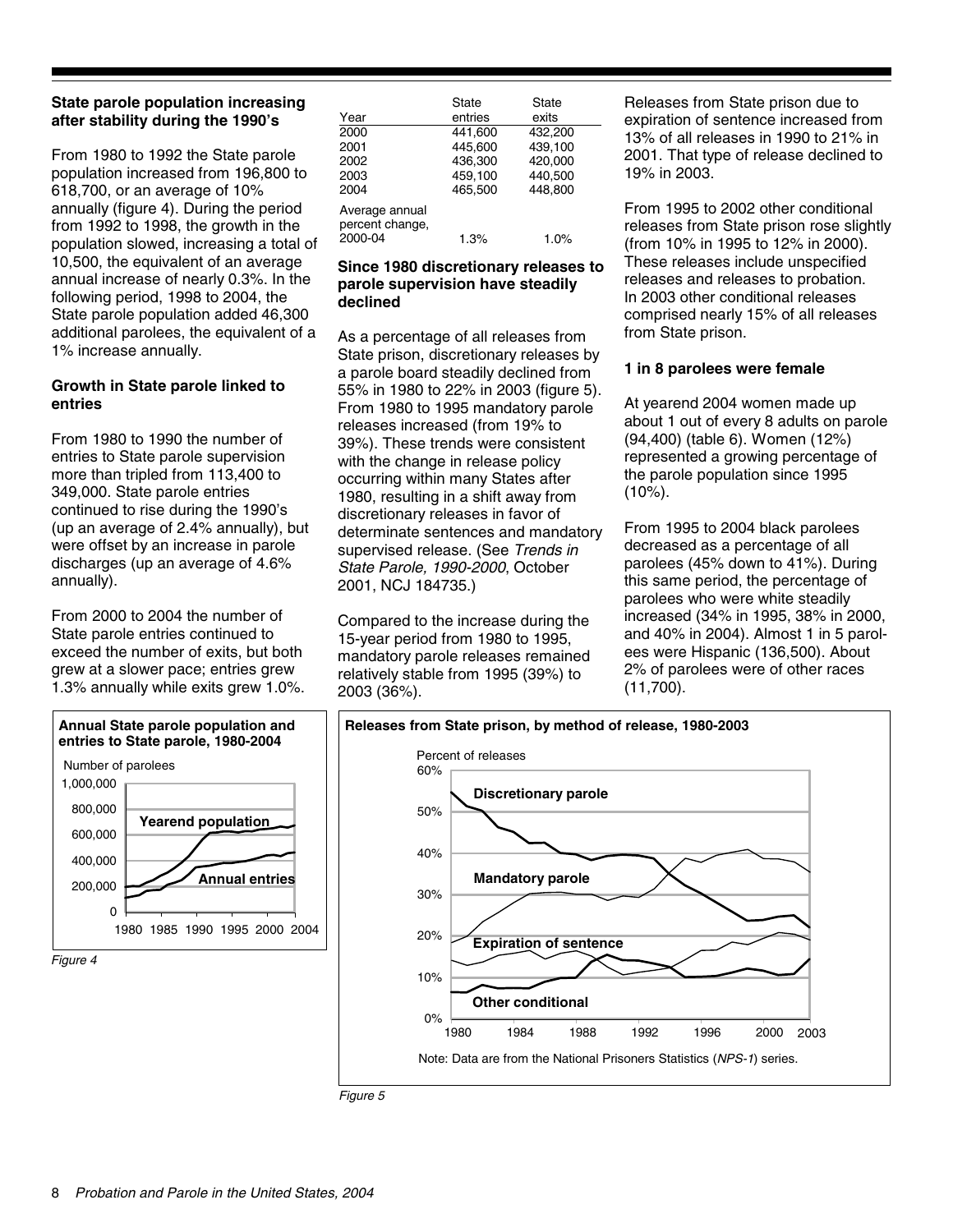#### **State parole population increasing after stability during the 1990's**

From 1980 to 1992 the State parole population increased from 196,800 to 618,700, or an average of 10% annually (figure 4). During the period from 1992 to 1998, the growth in the population slowed, increasing a total of 10,500, the equivalent of an average annual increase of nearly 0.3%. In the following period, 1998 to 2004, the State parole population added 46,300 additional parolees, the equivalent of a 1% increase annually.

#### **Growth in State parole linked to entries**

From 1980 to 1990 the number of entries to State parole supervision more than tripled from 113,400 to 349,000. State parole entries continued to rise during the 1990's (up an average of 2.4% annually), but were offset by an increase in parole discharges (up an average of 4.6% annually).

From 2000 to 2004 the number of State parole entries continued to exceed the number of exits, but both grew at a slower pace; entries grew 1.3% annually while exits grew 1.0%.



| Year<br>2000<br>2001                         | State<br>entries<br>441.600<br>445,600 | State<br>exits<br>432,200<br>439,100 |  |
|----------------------------------------------|----------------------------------------|--------------------------------------|--|
| 2002<br>2003<br>2004                         | 436.300<br>459,100<br>465.500          | 420,000<br>440,500<br>448.800        |  |
| Average annual<br>percent change,<br>2000-04 | 1.3%                                   | 1.0%                                 |  |

#### **Since 1980 discretionary releases to parole supervision have steadily declined**

As a percentage of all releases from State prison, discretionary releases by a parole board steadily declined from 55% in 1980 to 22% in 2003 (figure 5). From 1980 to 1995 mandatory parole releases increased (from 19% to 39%). These trends were consistent with the change in release policy occurring within many States after 1980, resulting in a shift away from discretionary releases in favor of determinate sentences and mandatory supervised release. (See *Trends in State Parole, 1990-2000*, October 2001, NCJ 184735.)

Compared to the increase during the 15-year period from 1980 to 1995, mandatory parole releases remained relatively stable from 1995 (39%) to 2003 (36%).

Releases from State prison due to expiration of sentence increased from 13% of all releases in 1990 to 21% in 2001. That type of release declined to 19% in 2003.

From 1995 to 2002 other conditional releases from State prison rose slightly (from 10% in 1995 to 12% in 2000). These releases include unspecified releases and releases to probation. In 2003 other conditional releases comprised nearly 15% of all releases from State prison.

#### **1 in 8 parolees were female**

At yearend 2004 women made up about 1 out of every 8 adults on parole (94,400) (table 6). Women (12%) represented a growing percentage of the parole population since 1995  $(10\%)$ .

From 1995 to 2004 black parolees decreased as a percentage of all parolees (45% down to 41%). During this same period, the percentage of parolees who were white steadily increased (34% in 1995, 38% in 2000, and 40% in 2004). Almost 1 in 5 parolees were Hispanic (136,500). About 2% of parolees were of other races (11,700).



*Figure 5*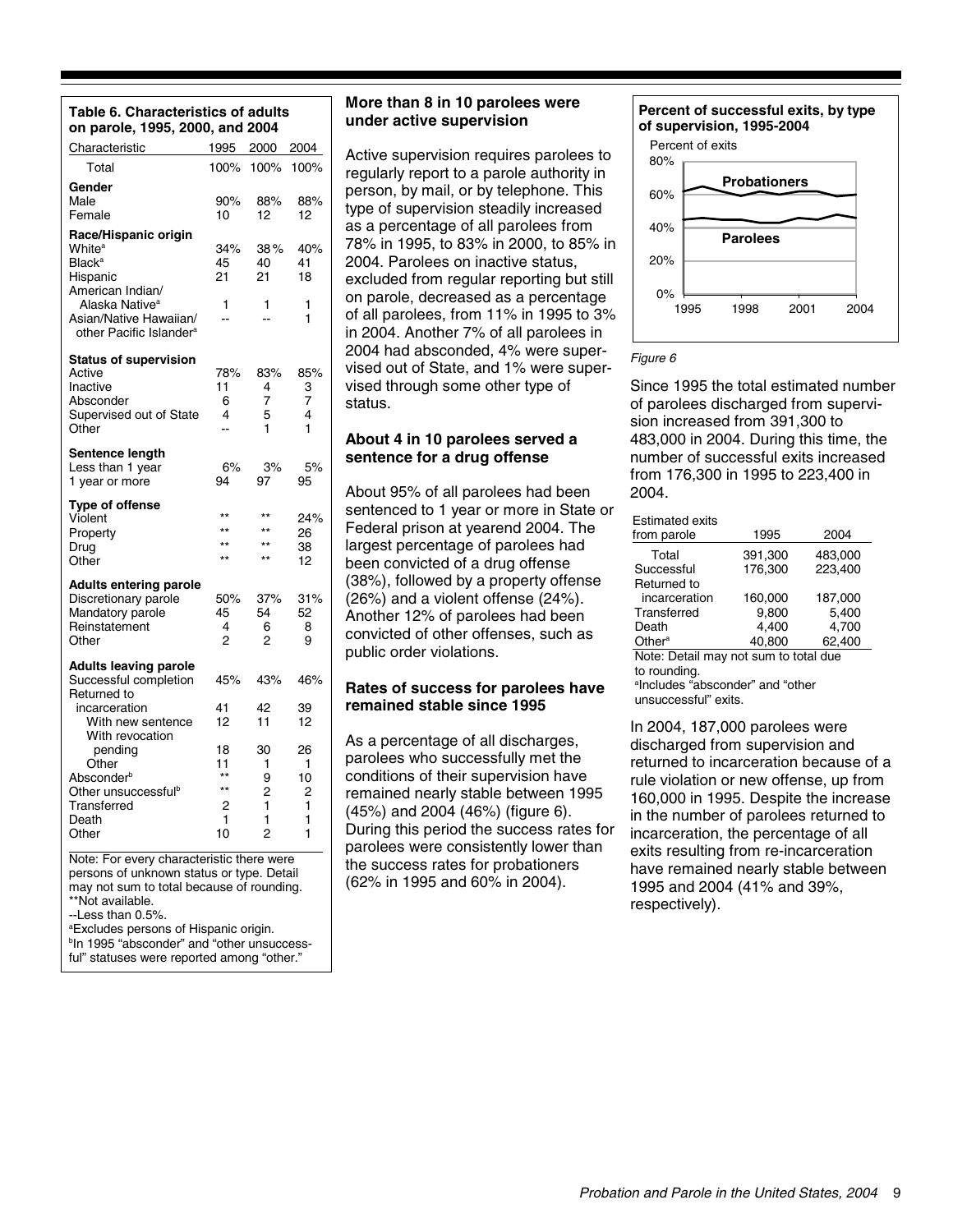| Table 6. Characteristics of adults |  |
|------------------------------------|--|
| on parole, 1995, 2000, and 2004    |  |

| υιι μαινι <del>ο</del> ,<br>1999, ZUUU, AHU ZUU4                                                                      |                                                          |                                                                       |                                   |  |
|-----------------------------------------------------------------------------------------------------------------------|----------------------------------------------------------|-----------------------------------------------------------------------|-----------------------------------|--|
| Characteristic                                                                                                        | 1995                                                     | 2000                                                                  | 2004                              |  |
| Total                                                                                                                 | 100%                                                     | 100%                                                                  | 100%                              |  |
| Gender<br>Male<br>Female                                                                                              | 90%<br>10                                                | 88%<br>12                                                             | 88%<br>12                         |  |
| Race/Hispanic origin<br>White <sup>a</sup><br><b>Black<sup>a</sup></b><br>Hispanic<br>American Indian/                | 34%<br>45<br>21                                          | 38%<br>40<br>21                                                       | 40%<br>41<br>18                   |  |
| Alaska Native <sup>a</sup><br>Asian/Native Hawaiian/<br>other Pacific Islander <sup>a</sup>                           | 1                                                        | 1                                                                     | 1<br>1                            |  |
| <b>Status of supervision</b><br>Active<br>Inactive<br>Absconder<br>Supervised out of State<br>Other                   | 78%<br>11<br>6<br>4<br>--                                | 83%<br>4<br>7<br>5<br>1                                               | 85%<br>3<br>7<br>4<br>1           |  |
| Sentence length<br>Less than 1 year<br>1 year or more                                                                 | 6%<br>94                                                 | 3%<br>97                                                              | 5%<br>95                          |  |
| <b>Type of offense</b><br>Violent<br>Property<br>Drug<br>Other                                                        | $\star\star$<br>$\star\star$<br>$\star\star$<br>**       | $^{\star\star}$<br>$^{\star\star}$<br>$^{\star\star}$<br>$\star\star$ | 24%<br>26<br>38<br>12             |  |
| <b>Adults entering parole</b><br>Discretionary parole<br>Mandatory parole<br>Reinstatement<br>Other                   | 50%<br>45<br>4<br>2                                      | 37%<br>54<br>6<br>2                                                   | 31%<br>52<br>8<br>9               |  |
| <b>Adults leaving parole</b><br>Successful completion<br>Returned to                                                  | 45%                                                      | 43%                                                                   | 46%                               |  |
| incarceration<br>With new sentence                                                                                    | 41<br>12                                                 | 42<br>11                                                              | 39<br>12                          |  |
| With revocation<br>pending<br>Other<br>Absconder <sup>b</sup><br>Other unsuccessfulb<br>Transferred<br>Death<br>Other | 18<br>11<br>$\star\star$<br>$\star\star$<br>2<br>1<br>10 | 30<br>1<br>9<br>2<br>1<br>1<br>$\overline{2}$                         | 26<br>1<br>10<br>2<br>1<br>1<br>1 |  |
| Note: For every characteristic there were<br>persons of unknown status or type. Detail                                |                                                          |                                                                       |                                   |  |

may not sum to total because of rounding. \*\*Not available.

--Less than 0.5%.

a Excludes persons of Hispanic origin.

b In 1995 "absconder" and "other unsuccessful" statuses were reported among "other."

#### **More than 8 in 10 parolees were under active supervision**

Active supervision requires parolees to regularly report to a parole authority in person, by mail, or by telephone. This type of supervision steadily increased as a percentage of all parolees from 78% in 1995, to 83% in 2000, to 85% in 2004. Parolees on inactive status, excluded from regular reporting but still on parole, decreased as a percentage of all parolees, from 11% in 1995 to 3% in 2004. Another 7% of all parolees in 2004 had absconded, 4% were supervised out of State, and 1% were supervised through some other type of status.

#### **About 4 in 10 parolees served a sentence for a drug offense**

About 95% of all parolees had been sentenced to 1 year or more in State or Federal prison at yearend 2004. The largest percentage of parolees had been convicted of a drug offense (38%), followed by a property offense (26%) and a violent offense (24%). Another 12% of parolees had been convicted of other offenses, such as public order violations.

#### **Rates of success for parolees have remained stable since 1995**

As a percentage of all discharges, parolees who successfully met the conditions of their supervision have remained nearly stable between 1995 (45%) and 2004 (46%) (figure 6). During this period the success rates for parolees were consistently lower than the success rates for probationers (62% in 1995 and 60% in 2004).



#### *Figure 6*

Since 1995 the total estimated number of parolees discharged from supervision increased from 391,300 to 483,000 in 2004. During this time, the number of successful exits increased from 176,300 in 1995 to 223,400 in 2004.

#### Estimated exits

| Luunatud untu<br>from parole          | 1995    | 2004    |  |  |  |
|---------------------------------------|---------|---------|--|--|--|
| Total                                 | 391,300 | 483,000 |  |  |  |
| Successful                            | 176,300 | 223,400 |  |  |  |
| Returned to                           |         |         |  |  |  |
| incarceration                         | 160.000 | 187.000 |  |  |  |
| Transferred                           | 9.800   | 5,400   |  |  |  |
| Death                                 | 4.400   | 4,700   |  |  |  |
| Other <sup>a</sup>                    | 40.800  | 62,400  |  |  |  |
| Note: Datail may not cum to total duo |         |         |  |  |  |

Note: Detail may not sum to total due to rounding. a Includes "absconder" and "other

unsuccessful" exits.

In 2004, 187,000 parolees were discharged from supervision and returned to incarceration because of a rule violation or new offense, up from 160,000 in 1995. Despite the increase in the number of parolees returned to incarceration, the percentage of all exits resulting from re-incarceration have remained nearly stable between 1995 and 2004 (41% and 39%, respectively).